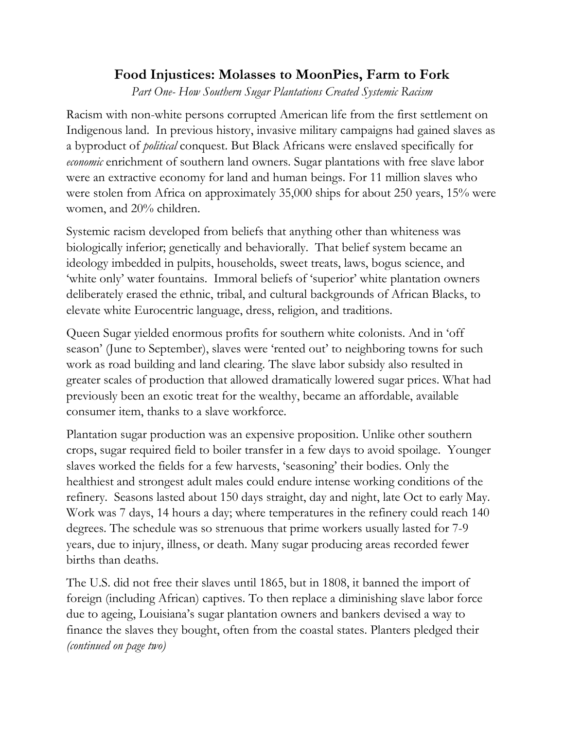## **Food Injustices: Molasses to MoonPies, Farm to Fork**

*Part One- How Southern Sugar Plantations Created Systemic Racism*

Racism with non-white persons corrupted American life from the first settlement on Indigenous land. In previous history, invasive military campaigns had gained slaves as a byproduct of *political* conquest. But Black Africans were enslaved specifically for *economic* enrichment of southern land owners. Sugar plantations with free slave labor were an extractive economy for land and human beings. For 11 million slaves who were stolen from Africa on approximately 35,000 ships for about 250 years, 15% were women, and 20% children.

Systemic racism developed from beliefs that anything other than whiteness was biologically inferior; genetically and behaviorally. That belief system became an ideology imbedded in pulpits, households, sweet treats, laws, bogus science, and 'white only' water fountains. Immoral beliefs of 'superior' white plantation owners deliberately erased the ethnic, tribal, and cultural backgrounds of African Blacks, to elevate white Eurocentric language, dress, religion, and traditions.

Queen Sugar yielded enormous profits for southern white colonists. And in 'off season' (June to September), slaves were 'rented out' to neighboring towns for such work as road building and land clearing. The slave labor subsidy also resulted in greater scales of production that allowed dramatically lowered sugar prices. What had previously been an exotic treat for the wealthy, became an affordable, available consumer item, thanks to a slave workforce.

Plantation sugar production was an expensive proposition. Unlike other southern crops, sugar required field to boiler transfer in a few days to avoid spoilage. Younger slaves worked the fields for a few harvests, 'seasoning' their bodies. Only the healthiest and strongest adult males could endure intense working conditions of the refinery. Seasons lasted about 150 days straight, day and night, late Oct to early May. Work was 7 days, 14 hours a day; where temperatures in the refinery could reach 140 degrees. The schedule was so strenuous that prime workers usually lasted for 7-9 years, due to injury, illness, or death. Many sugar producing areas recorded fewer births than deaths.

The U.S. did not free their slaves until 1865, but in 1808, it banned the import of foreign (including African) captives. To then replace a diminishing slave labor force due to ageing, Louisiana's sugar plantation owners and bankers devised a way to finance the slaves they bought, often from the coastal states. Planters pledged their *(continued on page two)*